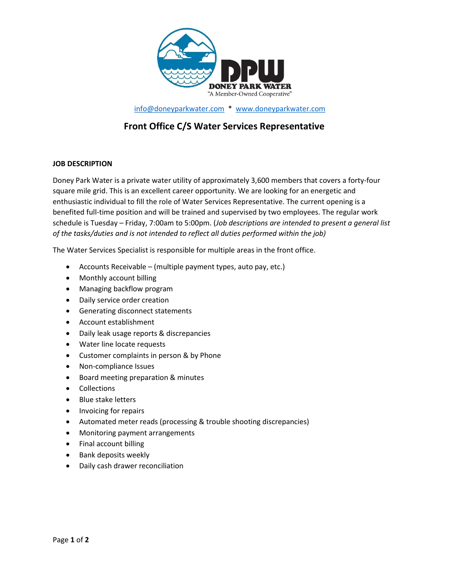

info@doneyparkwater.com \* www.doneyparkwater.com

# Front Office C/S Water Services Representative

## JOB DESCRIPTION

Doney Park Water is a private water utility of approximately 3,600 members that covers a forty-four square mile grid. This is an excellent career opportunity. We are looking for an energetic and enthusiastic individual to fill the role of Water Services Representative. The current opening is a benefited full-time position and will be trained and supervised by two employees. The regular work schedule is Tuesday – Friday, 7:00am to 5:00pm. (*Job descriptions are intended to present a general list* of the tasks/duties and is not intended to reflect all duties performed within the job)

The Water Services Specialist is responsible for multiple areas in the front office.

- $\bullet$  Accounts Receivable (multiple payment types, auto pay, etc.)
- Monthly account billing
- Managing backflow program
- Daily service order creation
- Generating disconnect statements
- Account establishment
- Daily leak usage reports & discrepancies
- Water line locate requests
- Customer complaints in person & by Phone
- Non-compliance Issues
- **•** Board meeting preparation & minutes
- Collections
- Blue stake letters
- Invoicing for repairs
- Automated meter reads (processing & trouble shooting discrepancies)
- Monitoring payment arrangements
- Final account billing
- Bank deposits weekly
- Daily cash drawer reconciliation